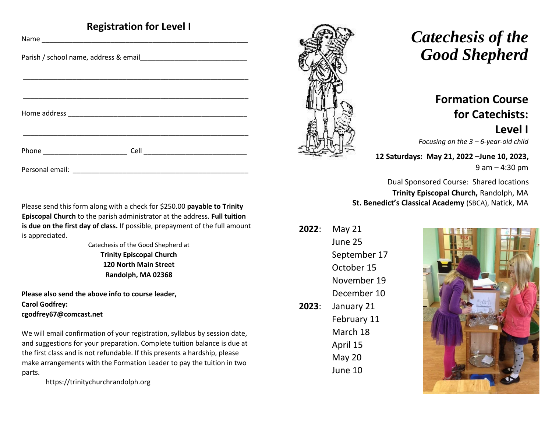## **Registration for Level I**

| Personal email: |
|-----------------|

Please send this form along with a check for \$250.00 **payable to Trinity Episcopal Church** to the parish administrator at the address. **Full tuition is due on the first day of class.** If possible, prepayment of the full amount is appreciated.

> Catechesis of the Good Shepherd at **Trinity Episcopal Church 120 North Main Street Randolph, MA 02368**

**Please also send the above info to course leader, Carol Godfrey: cgodfrey67@comcast.net** 

We will email confirmation of your registration, syllabus by session date, and suggestions for your preparation. Complete tuition balance is due at the first class and is not refundable. If this presents a hardship, please make arrangements with the Formation Leader to pay the tuition in two parts.

https://trinitychurchrandolph.org



# *Catechesis of the Good Shepherd*

# **Formation Course for Catechists: Level I**

*Focusing on the 3 – 6-year-old child* 

**12 Saturdays: May 21, 2022 –June 10, 2023,**  9 am – 4:30 pm

Dual Sponsored Course: Shared locations **Trinity Episcopal Church,** Randolph, MA **St. Benedict's Classical Academy** (SBCA), Natick, MA

**2022**: May 21 June 25 September 17 October 15 November 19 December 10 **2023**: January 21 February 11 March 18 April 15 May 20 June 10